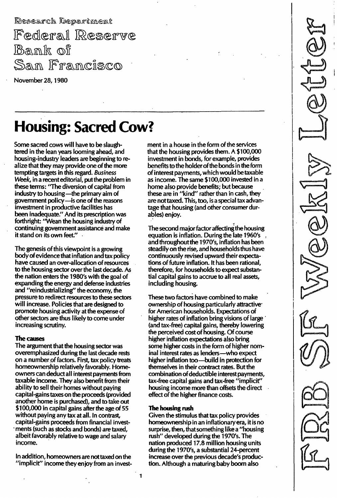Research Department

Federal Reserve Bank of San Francisco

November 28, 1980

# Housing: Sacred Cow?

Some sacred cows will have to be slaughtered in the lean years looming ahead, and housing-industry leaders are beginning to realize that they may provide one of the more tempting targets in this regard. Business Week, in a recent editorial, put the problem in these terms: "The diversion of capital from industry to housing-the primary aim of government policy-is one of the reasons investment in productive facilities has been inadequate." And its prescription was forthright: "Wean the housing industry of continuing government assistance and make it stand on its own feet."

The genesis of this viewpoint is a growing body of evidence that inflation and tax policy have caused an over-allocation of resources to the housing sector over the last decade. As the nation enters the 1980's with the goal of expanding the energy and defense industries and "reindustrializing" the economy, the pressure to redirect resources to these sectors will increase. Policies that are designed to promote housing activity at the expense of other sectors are thus likely to come under increasing scrutiny.

# The causes

The argument that the housing sector was overemphasized during the last decade rests on a number of factors. First, tax policy treats homeownership relatively favorably. Homeowners can deduct all interest payments from taxable income. They also benefit from their ability to sell their homes without paying capital-gains taxes on the proceeds (provided another home is purchased), and to take out \$100,000 in capital gains after the age of 55 without paying any tax at all. In contrast, capital-gains proceeds from financial invest- . ments (such as stocks and bonds) are taxed, albeit favorably relative to wage and salary income.

In addition, homeowners are nottaxed on the "implicit" income they enjoy from an investment in a house in the form of the services that the housing provides them. A \$100,000 investment in bonds, for example, provides benefits to the holder of the bonds in the form of interest payments, which would be taxable as income. The same \$100,000 invested in a home also provide benefits; but because these are in "kind" rather than in cash, they are not taxed. This, too, is a special tax advantage that housing (and other consumer durabies) enjoy.

The second major factor affecting the housing equation is inflation. During the late 1960's and throughoutthe 1970's, inflation has been steadily on the rise, and households thus have continuously revised upward their expectations of future inflation. It has been rational, therefore, for households to expect substantial capital gains to accrue to all real assets, including housing.

These two factors have combined to make ownership of housing particularly attractivefor American households. Expectations of higher rates of inflation bring visions of large (and tax-free) capital gains, thereby lowering the perceived cost of housing. Of course higher inflation expectations also bring some higher costs in the form of higher nominal interest rates as lenders-who expect higher inflation too-build in protection for themselves in their contract rates. But the combination of deductible interest payments, tax-free capital gains and tax-free "implicit" housing income more than offsets the direct effect of the higher finance costs.

# The housing rush

Given the stimulus that tax policy provides homeownership in an inflationary era, it is no surprise, then, that something likea "housing rush" developed during the 1970's. The nation produced 17.8 million housing units during the 1970's, a substantial 24-percent increase over the previous decade's production. Although a maturing baby boom also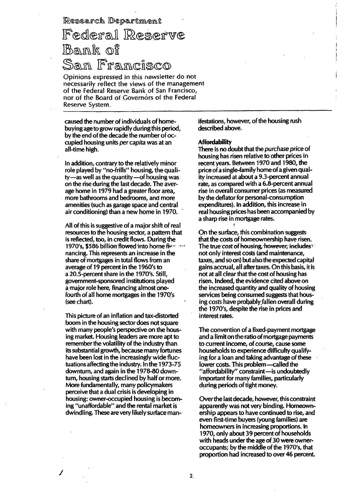Research Department

# Federal Reserve Bank of San Francisco

Opinions expressed in this newsletter do not necessarilv reflect the views of the rnanagement of the Federal Reserve Bank of San Francisco, nor of the Board of Governors of the Federal Reserve System.

caused the number of individuals of homebuying age to grow rapidly during this period, by the end of the decade the number of occupied housing units per capita was at an all-time high.

In addition, contrary to the relatively minor role played by "no-frills" housing, the quality-as well as the quantity-of housing was on the rise during the last decade. The average home in 1979 had a greater floor area, more bathrooms and bedrooms, and more amenities (such as garage space and central air conditioning) than a new home in 1970.

All of this is suggestive of a major shift of real resources to the housing sector, a pattern that is reflected, too, in credit flows. During the 1970's, \$586 billion flowed into home fium nancing. This represents an increase in the share of mortgages in total flows from an average of 19 percent in the 1 960's to a 20.5-percent share in the 1970's. Still, government-sponsored institutions played a major role here, financing almost onefourth of all home mortgages in the 1970's (see chart).

This picture of an inflation and tax-distorted boom in the housing sector does not square with many people's perspective on the housing market. Housing leaders are more apt to remember the volatility of the industry than its substantial growth, because many fortunes have been lost in the increasingly wide fluctuations affecting the industry. In the 1973-75 downturn, and again in the 1 978-80 downturn, housing starts declined by half or more. More fundamentally, many policymakers perceive that a dual crisis is developing in housing: owner-occupied housing is becoming "unaffordable" and the rental market is dwindling. These are very likely surface man-

j

ifestations, however, of the housing rush described above.

---------- . -. \_. -

#### **Affordability**

There is no doubt that the purchase price of housing has risen relative to other prices in recent years. Between 1970 and 1980, the price of a single-family home of a.given quality increased at about a 9.3-percent annual rate, as compared with a 6.8-percent annual rise in overall consumer prices (as measured by the deflator for personal-consumption expenditures). In addition, this increase in real housing prices has been accompanied by a sharp rise in mortgage rates.

On the surface, this combination suggests that the costs of homeownership have risen. The true cost of housing, however, includes: not only interest costs (and maintenance, taxes, and so on) but also the expected capital gains accrual, all after taxes. On this basis, it is not at all clear that the cost of housing has risen. Indeed, the evidence cited above on the increased quantity and quality of housing services being consumed suggests that housing costs have probably fallen overall during the 1970's, despite the rise in prices and interest rates.

The convention of a fixed-payment mortgage and a limit on the ratio of mortgage payments to current income, of course, cause some households to experience difficulty qualifying for a loan and taking advantage of these lower costs. This problem-called the "affordability" constraint-is undoubtedly important for many families, particularly during periods of tight money.

Over the last decade, however, this constraint apparently was not very binding. Homeownership appears to have continued to rise, and even first-time buyers (young families) are homeowners in increasing proportions. In 1 970, only about 39 percent of households with heads under the age of 30 were owneroccupants; by the middle of the 1970's, that proportion had increased to over 46 percent.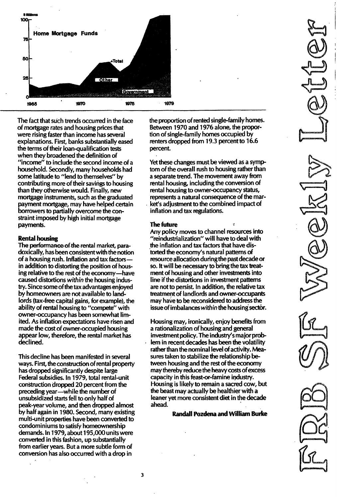

The fact that such trends occurred in the face of mortgage rates and housing prices that were rising faster than income has several explanations. First, banks substantially eased the terms of their loan-qualification tests when they broadened the definition of "income" to include the second income of a household. Secondly, many households had some latitude to "lend to themselves" by contributing more of their savings to housing than they otherwise would. Finally, new mortgage instruments, such as the graduated payment mortgage, may have helped certain borrowers to partially overcome the constraint imposed by high initial mortgage payments.

#### Rental housing

The performance. of the rental market, paradoxically, has been consistent with the notion of a housing rush. Inflation and tax factorsin addition to distorting the position of housing relative to the rest of the economy-have caused distortions within the housing industry. Since some of the tax advantages enjoyed by homeowners are not available to landlords (tax-free capital gains, for example), the ability of rental housing to "compete" with owner-occupancy has been somewhat limited. As inflation expectations have risen and made the cost of owner-occupied housing appear low, therefore, the rental market has declined.

This decline has been manifested in several ways. First, the construction of rental property has dropped significantly despite large Federal subsidies. In 1979, total rental-unit construction dropped 20 percent from the preceding year-while the number of unsubsidized starts fell to only half of peak-year volume, and then dropped almost by half again in 1 980. Second, many existing multi-unit properties have been converted to condominiums to satisfy homeownership demands. In 1979, about 195,000 units were converted in this fashion, up substantially from earlier years. But a more subtle form of conversion has also occurred with a drop in

the proportion of rented single-family homes. Between 1970 and 1976 alone, the proportion of single-family homes occupied by renters dropped from 19.3 percent to 16.6 percent.

Yet these changes must be viewed as a symptom of the overall rush to housing rather than a separate trend. The movement away from rental housing, including the conversion of rental housing to owner-occupancy status, represents a natural consequence of the market's adjustment to the combined impact of inflation and tax regulations.

#### The future

Any policy moves to channel resources into "reindustrialization" will have to deal with the inflation and tax factors that have distorted the economy's natural patterns of resource allocation duringthe past decade or so. It will be necessary to bring the tax treatment of housing and other investments into line if the distortions in investment patterns are not to persist. In addition, the relative tax treatment of landlords and owner-occupants may have to be reconsidered to address the issue of imbalances within the housing sector.

Housing may, ironically, enjoy benefits from a rationalization of housing and general investment policy. The industry's major problem in recent decades has been the volatility rather than the nominal level of activity. Measures taken to stabilize the relationship between housing and the rest of the economy may thereby reduce the heavy costs of excess capacity in this feast-or-famine industry. Housing is likely to remain a sacred cow, but the beast may actually be healthier with a leaner yet more consistent diet in the decade ahead.

Randall Pozdena and William Burke